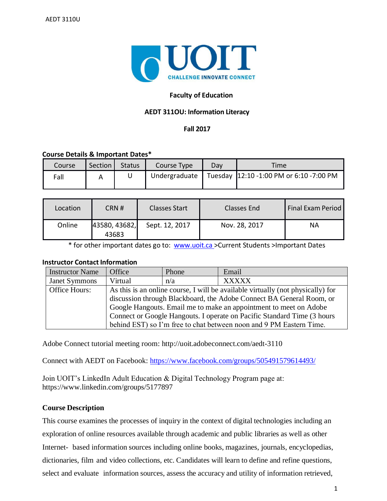

# **Faculty of Education**

## **AEDT 311OU: Information Literacy**

## **Fall 2017**

#### **Course Details & Important Dates\***

| Course | Section | <b>Status</b> | Course Type   | Dav | Time                                    |
|--------|---------|---------------|---------------|-----|-----------------------------------------|
| Fall   |         |               | Undergraduate |     | Tuesday 12:10 -1:00 PM or 6:10 -7:00 PM |

| Location | CRN#                   | <b>Classes Start</b> | Classes End   | <b>Final Exam Period</b> |
|----------|------------------------|----------------------|---------------|--------------------------|
| Online   | 43580, 43682,<br>43683 | Sept. 12, 2017       | Nov. 28, 2017 | ΝA                       |

\* for other important dates go to: [www.uoit.ca](http://www.uoit.ca/) >Current Students >Important Dates

## **Instructor Contact Information**

| <b>Instructor Name</b> | Office                                                                          | Phone | Email                                                               |  |  |
|------------------------|---------------------------------------------------------------------------------|-------|---------------------------------------------------------------------|--|--|
| <b>Janet Symmons</b>   | Virtual                                                                         | n/a   | <b>XXXXX</b>                                                        |  |  |
| Office Hours:          | As this is an online course, I will be available virtually (not physically) for |       |                                                                     |  |  |
|                        | discussion through Blackboard, the Adobe Connect BA General Room, or            |       |                                                                     |  |  |
|                        | Google Hangouts. Email me to make an appointment to meet on Adobe               |       |                                                                     |  |  |
|                        | Connect or Google Hangouts. I operate on Pacific Standard Time (3 hours         |       |                                                                     |  |  |
|                        |                                                                                 |       | behind EST) so I'm free to chat between noon and 9 PM Eastern Time. |  |  |

Adobe Connect tutorial meeting room: http://uoit.adobeconnect.com/aedt-3110

Connect with AEDT on Facebook:<https://www.facebook.com/groups/505491579614493/>

Join UOIT's LinkedIn Adult Education & Digital Technology Program page at: https://www.linkedin.com/groups/5177897

## **Course Description**

This course examines the processes of inquiry in the context of digital technologies including an exploration of online resources available through academic and public libraries as well as other Internet- based information sources including online books, magazines, journals, encyclopedias, dictionaries, film and video collections, etc. Candidates will learn to define and refine questions, select and evaluate information sources, assess the accuracy and utility of information retrieved,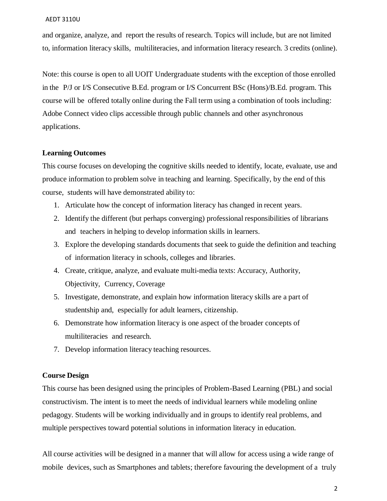and organize, analyze, and report the results of research. Topics will include, but are not limited to, information literacy skills, multiliteracies, and information literacy research. 3 credits (online).

Note: this course is open to all UOIT Undergraduate students with the exception of those enrolled in the P/J or I/S Consecutive B.Ed. program or I/S Concurrent BSc (Hons)/B.Ed. program. This course will be offered totally online during the Fall term using a combination of tools including: Adobe Connect video clips accessible through public channels and other asynchronous applications.

#### **Learning Outcomes**

This course focuses on developing the cognitive skills needed to identify, locate, evaluate, use and produce information to problem solve in teaching and learning. Specifically, by the end of this course, students will have demonstrated ability to:

- 1. Articulate how the concept of information literacy has changed in recent years.
- 2. Identify the different (but perhaps converging) professional responsibilities of librarians and teachers in helping to develop information skills in learners.
- 3. Explore the developing standards documents that seek to guide the definition and teaching of information literacy in schools, colleges and libraries.
- 4. Create, critique, analyze, and evaluate multi-media texts: Accuracy, Authority, Objectivity, Currency, Coverage
- 5. Investigate, demonstrate, and explain how information literacy skills are a part of studentship and, especially for adult learners, citizenship.
- 6. Demonstrate how information literacy is one aspect of the broader concepts of multiliteracies and research.
- 7. Develop information literacy teaching resources.

## **Course Design**

This course has been designed using the principles of Problem-Based Learning (PBL) and social constructivism. The intent is to meet the needs of individual learners while modeling online pedagogy. Students will be working individually and in groups to identify real problems, and multiple perspectives toward potential solutions in information literacy in education.

All course activities will be designed in a manner that will allow for access using a wide range of mobile devices, such as Smartphones and tablets; therefore favouring the development of a truly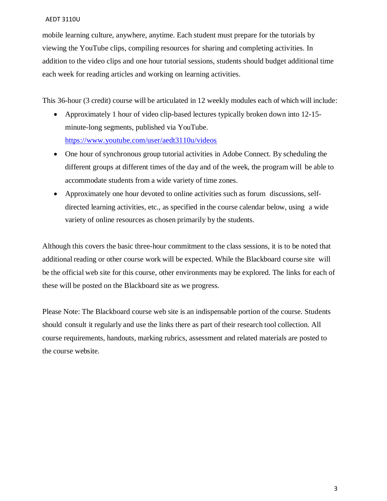mobile learning culture, anywhere, anytime. Each student must prepare for the tutorials by viewing the YouTube clips, compiling resources for sharing and completing activities. In addition to the video clips and one hour tutorial sessions, students should budget additional time each week for reading articles and working on learning activities.

This 36-hour (3 credit) course will be articulated in 12 weekly modules each of which will include:

- Approximately 1 hour of video clip-based lectures typically broken down into 12-15 minute-long segments, published via YouTube. <https://www.youtube.com/user/aedt3110u/videos>
- One hour of synchronous group tutorial activities in Adobe Connect. By scheduling the different groups at different times of the day and of the week, the program will be able to accommodate students from a wide variety of time zones.
- Approximately one hour devoted to online activities such as forum discussions, selfdirected learning activities, etc., as specified in the course calendar below, using a wide variety of online resources as chosen primarily by the students.

Although this covers the basic three-hour commitment to the class sessions, it is to be noted that additional reading or other course work will be expected. While the Blackboard course site will be the official web site for this course, other environments may be explored. The links for each of these will be posted on the Blackboard site as we progress.

Please Note: The Blackboard course web site is an indispensable portion of the course. Students should consult it regularly and use the links there as part of their research tool collection. All course requirements, handouts, marking rubrics, assessment and related materials are posted to the course website.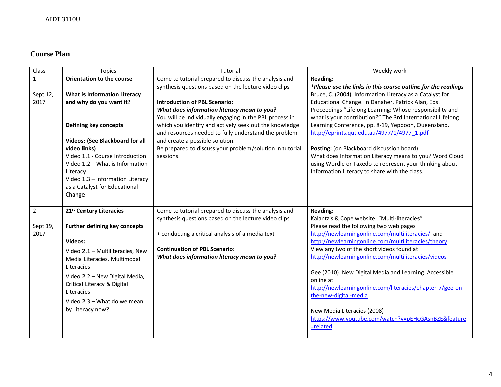# **Course Plan**

| Class            | <b>Topics</b>                                                                                                                                                                                                                                                                                               | Tutorial                                                                                                                                                                                                                                                                                                                                                                                                                             | Weekly work                                                                                                                                                                                                                                                                                                                                                                                                                                                                                                                                                                                                                         |
|------------------|-------------------------------------------------------------------------------------------------------------------------------------------------------------------------------------------------------------------------------------------------------------------------------------------------------------|--------------------------------------------------------------------------------------------------------------------------------------------------------------------------------------------------------------------------------------------------------------------------------------------------------------------------------------------------------------------------------------------------------------------------------------|-------------------------------------------------------------------------------------------------------------------------------------------------------------------------------------------------------------------------------------------------------------------------------------------------------------------------------------------------------------------------------------------------------------------------------------------------------------------------------------------------------------------------------------------------------------------------------------------------------------------------------------|
| $\mathbf{1}$     | <b>Orientation to the course</b>                                                                                                                                                                                                                                                                            | Come to tutorial prepared to discuss the analysis and                                                                                                                                                                                                                                                                                                                                                                                | <b>Reading:</b>                                                                                                                                                                                                                                                                                                                                                                                                                                                                                                                                                                                                                     |
| Sept 12,<br>2017 | <b>What is Information Literacy</b><br>and why do you want it?<br>Defining key concepts<br>Videos: (See Blackboard for all<br>video links)<br>Video 1.1 - Course Introduction<br>Video 1.2 - What is Information<br>Literacy<br>Video 1.3 - Information Literacy<br>as a Catalyst for Educational<br>Change | synthesis questions based on the lecture video clips<br><b>Introduction of PBL Scenario:</b><br>What does information literacy mean to you?<br>You will be individually engaging in the PBL process in<br>which you identify and actively seek out the knowledge<br>and resources needed to fully understand the problem<br>and create a possible solution.<br>Be prepared to discuss your problem/solution in tutorial<br>sessions. | *Please use the links in this course outline for the readings<br>Bruce, C. (2004). Information Literacy as a Catalyst for<br>Educational Change. In Danaher, Patrick Alan, Eds.<br>Proceedings "Lifelong Learning: Whose responsibility and<br>what is your contribution?" The 3rd International Lifelong<br>Learning Conference, pp. 8-19, Yeppoon, Queensland.<br>http://eprints.qut.edu.au/4977/1/4977_1.pdf<br>Posting: (on Blackboard discussion board)<br>What does Information Literacy means to you? Word Cloud<br>using Wordle or Taxedo to represent your thinking about<br>Information Literacy to share with the class. |
| $\overline{2}$   | 21st Century Literacies                                                                                                                                                                                                                                                                                     | Come to tutorial prepared to discuss the analysis and                                                                                                                                                                                                                                                                                                                                                                                | <b>Reading:</b>                                                                                                                                                                                                                                                                                                                                                                                                                                                                                                                                                                                                                     |
| Sept 19,<br>2017 | Further defining key concepts                                                                                                                                                                                                                                                                               | synthesis questions based on the lecture video clips<br>+ conducting a critical analysis of a media text                                                                                                                                                                                                                                                                                                                             | Kalantzis & Cope website: "Multi-literacies"<br>Please read the following two web pages<br>http://newlearningonline.com/multiliteracies/ and                                                                                                                                                                                                                                                                                                                                                                                                                                                                                        |
|                  | Videos:                                                                                                                                                                                                                                                                                                     |                                                                                                                                                                                                                                                                                                                                                                                                                                      | http://newlearningonline.com/multiliteracies/theory                                                                                                                                                                                                                                                                                                                                                                                                                                                                                                                                                                                 |
|                  | Video 2.1 - Multiliteracies, New                                                                                                                                                                                                                                                                            | <b>Continuation of PBL Scenario:</b>                                                                                                                                                                                                                                                                                                                                                                                                 | View any two of the short videos found at                                                                                                                                                                                                                                                                                                                                                                                                                                                                                                                                                                                           |
|                  | Media Literacies, Multimodal<br>Literacies                                                                                                                                                                                                                                                                  | What does information literacy mean to you?                                                                                                                                                                                                                                                                                                                                                                                          | http://newlearningonline.com/multiliteracies/videos                                                                                                                                                                                                                                                                                                                                                                                                                                                                                                                                                                                 |
|                  | Video 2.2 - New Digital Media,<br>Critical Literacy & Digital<br>Literacies<br>Video 2.3 - What do we mean                                                                                                                                                                                                  |                                                                                                                                                                                                                                                                                                                                                                                                                                      | Gee (2010). New Digital Media and Learning. Accessible<br>online at:<br>http://newlearningonline.com/literacies/chapter-7/gee-on-<br>the-new-digital-media                                                                                                                                                                                                                                                                                                                                                                                                                                                                          |
|                  | by Literacy now?                                                                                                                                                                                                                                                                                            |                                                                                                                                                                                                                                                                                                                                                                                                                                      | New Media Literacies (2008)<br>https://www.youtube.com/watch?v=pEHcGAsnBZE&feature<br>=related                                                                                                                                                                                                                                                                                                                                                                                                                                                                                                                                      |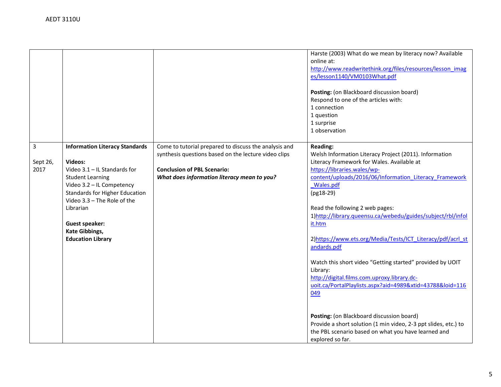|                                                                   |                                                                                                                                                                                                                                                                                 |                                                                                                                                                                                                    | Harste (2003) What do we mean by literacy now? Available<br>online at:<br>http://www.readwritethink.org/files/resources/lesson_imag<br>es/lesson1140/VM0103What.pdf<br>Posting: (on Blackboard discussion board)<br>Respond to one of the articles with:<br>1 connection<br>1 question<br>1 surprise<br>1 observation                                                                                                                                                                                                                                                                                                                                                                                                                                                                                                       |
|-------------------------------------------------------------------|---------------------------------------------------------------------------------------------------------------------------------------------------------------------------------------------------------------------------------------------------------------------------------|----------------------------------------------------------------------------------------------------------------------------------------------------------------------------------------------------|-----------------------------------------------------------------------------------------------------------------------------------------------------------------------------------------------------------------------------------------------------------------------------------------------------------------------------------------------------------------------------------------------------------------------------------------------------------------------------------------------------------------------------------------------------------------------------------------------------------------------------------------------------------------------------------------------------------------------------------------------------------------------------------------------------------------------------|
| $\overline{3}$<br><b>Videos:</b><br>Sept 26,<br>2017<br>Librarian | <b>Information Literacy Standards</b><br>Video $3.1 - I$ L Standards for<br><b>Student Learning</b><br>Video 3.2 - IL Competency<br><b>Standards for Higher Education</b><br>Video 3.3 - The Role of the<br><b>Guest speaker:</b><br>Kate Gibbings,<br><b>Education Library</b> | Come to tutorial prepared to discuss the analysis and<br>synthesis questions based on the lecture video clips<br><b>Conclusion of PBL Scenario:</b><br>What does information literacy mean to you? | <b>Reading:</b><br>Welsh Information Literacy Project (2011). Information<br>Literacy Framework for Wales. Available at<br>https://libraries.wales/wp-<br>content/uploads/2016/06/Information Literacy Framework<br>Wales.pdf<br>(pg18-29)<br>Read the following 2 web pages:<br>1)http://library.queensu.ca/webedu/guides/subject/rbl/infol<br>it.htm<br>2) https://www.ets.org/Media/Tests/ICT Literacy/pdf/acrl st<br>andards.pdf<br>Watch this short video "Getting started" provided by UOIT<br>Library:<br>http://digital.films.com.uproxy.library.dc-<br>uoit.ca/PortalPlaylists.aspx?aid=4989&xtid=43788&loid=116<br>049<br>Posting: (on Blackboard discussion board)<br>Provide a short solution (1 min video, 2-3 ppt slides, etc.) to<br>the PBL scenario based on what you have learned and<br>explored so far. |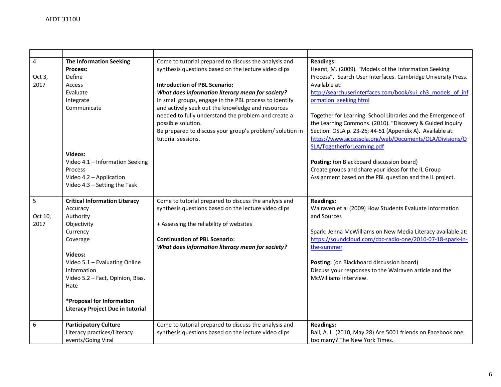| 4<br>Oct 3,<br>2017  | <b>The Information Seeking</b><br>Process:<br>Define<br>Access<br>Evaluate<br>Integrate<br>Communicate                                                                                                                                                                              | Come to tutorial prepared to discuss the analysis and<br>synthesis questions based on the lecture video clips<br><b>Introduction of PBL Scenario:</b><br>What does information literacy mean for society?<br>In small groups, engage in the PBL process to identify<br>and actively seek out the knowledge and resources<br>needed to fully understand the problem and create a<br>possible solution.<br>Be prepared to discuss your group's problem/ solution in<br>tutorial sessions. | <b>Readings:</b><br>Hearst, M. (2009). "Models of the Information Seeking<br>Process". Search User Interfaces. Cambridge University Press.<br>Available at:<br>http://searchuserinterfaces.com/book/sui_ch3_models_of_inf<br>ormation seeking.html<br>Together for Learning: School Libraries and the Emergence of<br>the Learning Commons. (2010). "Discovery & Guided Inquiry<br>Section: OSLA p. 23-26; 44-51 (Appendix A). Available at:<br>https://www.accessola.org/web/Documents/OLA/Divisions/O |
|----------------------|-------------------------------------------------------------------------------------------------------------------------------------------------------------------------------------------------------------------------------------------------------------------------------------|-----------------------------------------------------------------------------------------------------------------------------------------------------------------------------------------------------------------------------------------------------------------------------------------------------------------------------------------------------------------------------------------------------------------------------------------------------------------------------------------|---------------------------------------------------------------------------------------------------------------------------------------------------------------------------------------------------------------------------------------------------------------------------------------------------------------------------------------------------------------------------------------------------------------------------------------------------------------------------------------------------------|
|                      | <b>Videos:</b><br>Video 4.1 - Information Seeking<br>Process<br>Video 4.2 - Application<br>Video 4.3 - Setting the Task                                                                                                                                                             |                                                                                                                                                                                                                                                                                                                                                                                                                                                                                         | SLA/TogetherforLearning.pdf<br>Posting: (on Blackboard discussion board)<br>Create groups and share your ideas for the IL Group<br>Assignment based on the PBL question and the IL project.                                                                                                                                                                                                                                                                                                             |
| 5<br>Oct 10,<br>2017 | <b>Critical Information Literacy</b><br>Accuracy<br>Authority<br>Objectivity<br>Currency<br>Coverage<br>Videos:<br>Video 5.1 - Evaluating Online<br>Information<br>Video 5.2 - Fact, Opinion, Bias,<br>Hate<br>*Proposal for Information<br><b>Literacy Project Due in tutorial</b> | Come to tutorial prepared to discuss the analysis and<br>synthesis questions based on the lecture video clips<br>+ Assessing the reliability of websites<br><b>Continuation of PBL Scenario:</b><br>What does information literacy mean for society?                                                                                                                                                                                                                                    | <b>Readings:</b><br>Walraven et al (2009) How Students Evaluate Information<br>and Sources<br>Spark: Jenna McWilliams on New Media Literacy available at:<br>https://soundcloud.com/cbc-radio-one/2010-07-18-spark-in-<br>the-summer<br>Posting: (on Blackboard discussion board)<br>Discuss your responses to the Walraven article and the<br>McWilliams interview.                                                                                                                                    |
| 6                    | <b>Participatory Culture</b><br>Literacy practices/Literacy<br>events/Going Viral                                                                                                                                                                                                   | Come to tutorial prepared to discuss the analysis and<br>synthesis questions based on the lecture video clips                                                                                                                                                                                                                                                                                                                                                                           | <b>Readings:</b><br>Ball, A. L. (2010, May 28) Are 5001 friends on Facebook one<br>too many? The New York Times.                                                                                                                                                                                                                                                                                                                                                                                        |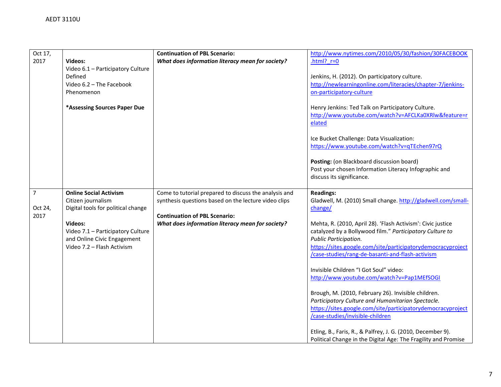| Oct 17,        |                                    | <b>Continuation of PBL Scenario:</b>                  | http://www.nytimes.com/2010/05/30/fashion/30FACEBOOK           |
|----------------|------------------------------------|-------------------------------------------------------|----------------------------------------------------------------|
| 2017           | Videos:                            | What does information literacy mean for society?      | .html? $r=0$                                                   |
|                | Video 6.1 - Participatory Culture  |                                                       |                                                                |
|                | Defined                            |                                                       | Jenkins, H. (2012). On participatory culture.                  |
|                | Video 6.2 - The Facebook           |                                                       | http://newlearningonline.com/literacies/chapter-7/jenkins-     |
|                | Phenomenon                         |                                                       | on-participatory-culture                                       |
|                |                                    |                                                       |                                                                |
|                |                                    |                                                       |                                                                |
|                | *Assessing Sources Paper Due       |                                                       | Henry Jenkins: Ted Talk on Participatory Culture.              |
|                |                                    |                                                       | http://www.youtube.com/watch?v=AFCLKa0XRIw&feature=r           |
|                |                                    |                                                       | elated                                                         |
|                |                                    |                                                       |                                                                |
|                |                                    |                                                       | Ice Bucket Challenge: Data Visualization:                      |
|                |                                    |                                                       | https://www.youtube.com/watch?v=qTEchen97rQ                    |
|                |                                    |                                                       |                                                                |
|                |                                    |                                                       | Posting: (on Blackboard discussion board)                      |
|                |                                    |                                                       |                                                                |
|                |                                    |                                                       | Post your chosen Information Literacy Infographic and          |
|                |                                    |                                                       | discuss its significance.                                      |
|                |                                    |                                                       |                                                                |
| $\overline{7}$ | <b>Online Social Activism</b>      | Come to tutorial prepared to discuss the analysis and | <b>Readings:</b>                                               |
|                | Citizen journalism                 | synthesis questions based on the lecture video clips  | Gladwell, M. (2010) Small change. http://gladwell.com/small-   |
| Oct 24,        | Digital tools for political change |                                                       | change/                                                        |
| 2017           |                                    | <b>Continuation of PBL Scenario:</b>                  |                                                                |
|                | Videos:                            | What does information literacy mean for society?      | Mehta, R. (2010, April 28). 'Flash Activism': Civic justice    |
|                |                                    |                                                       |                                                                |
|                | Video 7.1 - Participatory Culture  |                                                       | catalyzed by a Bollywood film." Participatory Culture to       |
|                | and Online Civic Engagement        |                                                       | Public Participation.                                          |
|                | Video 7.2 - Flash Activism         |                                                       | https://sites.google.com/site/participatorydemocracyproject    |
|                |                                    |                                                       | /case-studies/rang-de-basanti-and-flash-activism               |
|                |                                    |                                                       |                                                                |
|                |                                    |                                                       | Invisible Children "I Got Soul" video:                         |
|                |                                    |                                                       | http://www.youtube.com/watch?v=Pap1MEfSOGI                     |
|                |                                    |                                                       |                                                                |
|                |                                    |                                                       | Brough, M. (2010, February 26). Invisible children.            |
|                |                                    |                                                       |                                                                |
|                |                                    |                                                       | Participatory Culture and Humanitarian Spectacle.              |
|                |                                    |                                                       | https://sites.google.com/site/participatorydemocracyproject    |
|                |                                    |                                                       | /case-studies/invisible-children                               |
|                |                                    |                                                       |                                                                |
|                |                                    |                                                       | Etling, B., Faris, R., & Palfrey, J. G. (2010, December 9).    |
|                |                                    |                                                       | Political Change in the Digital Age: The Fragility and Promise |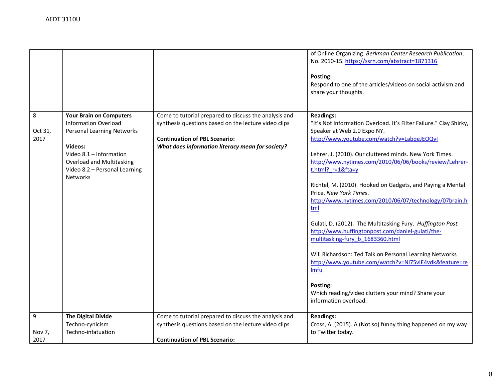|                            |                                                                                                                                                                                                                                  |                                                                                                                                                                                                           | of Online Organizing. Berkman Center Research Publication,<br>No. 2010-15. https://ssrn.com/abstract=1871316<br>Posting:<br>Respond to one of the articles/videos on social activism and<br>share your thoughts.                                                                                                                                                                                                                                                                                                                                                                                                                                                                                                                                                                                                                                    |
|----------------------------|----------------------------------------------------------------------------------------------------------------------------------------------------------------------------------------------------------------------------------|-----------------------------------------------------------------------------------------------------------------------------------------------------------------------------------------------------------|-----------------------------------------------------------------------------------------------------------------------------------------------------------------------------------------------------------------------------------------------------------------------------------------------------------------------------------------------------------------------------------------------------------------------------------------------------------------------------------------------------------------------------------------------------------------------------------------------------------------------------------------------------------------------------------------------------------------------------------------------------------------------------------------------------------------------------------------------------|
| 8<br>Oct 31,<br>2017       | <b>Your Brain on Computers</b><br><b>Information Overload</b><br><b>Personal Learning Networks</b><br>Videos:<br>Video 8.1 - Information<br><b>Overload and Multitasking</b><br>Video 8.2 - Personal Learning<br><b>Networks</b> | Come to tutorial prepared to discuss the analysis and<br>synthesis questions based on the lecture video clips<br><b>Continuation of PBL Scenario:</b><br>What does information literacy mean for society? | <b>Readings:</b><br>"It's Not Information Overload. It's Filter Failure." Clay Shirky,<br>Speaker at Web 2.0 Expo NY.<br>http://www.youtube.com/watch?v=LabqeJEOQyI<br>Lehrer, J. (2010). Our cluttered minds. New York Times.<br>http://www.nytimes.com/2010/06/06/books/review/Lehrer-<br>t.html?_r=1&fta=y<br>Richtel, M. (2010). Hooked on Gadgets, and Paying a Mental<br>Price. New York Times.<br>http://www.nytimes.com/2010/06/07/technology/07brain.h<br>tml<br>Gulati, D. (2012). The Multitasking Fury. Huffington Post.<br>http://www.huffingtonpost.com/daniel-gulati/the-<br>multitasking-fury b 1683360.html<br>Will Richardson: Ted Talk on Personal Learning Networks<br>http://www.youtube.com/watch?v=Ni75vIE4vdk&feature=re<br>Imfu<br>Posting:<br>Which reading/video clutters your mind? Share your<br>information overload. |
| $\boldsymbol{9}$<br>Nov 7, | <b>The Digital Divide</b><br>Techno-cynicism<br>Techno-infatuation                                                                                                                                                               | Come to tutorial prepared to discuss the analysis and<br>synthesis questions based on the lecture video clips                                                                                             | <b>Readings:</b><br>Cross, A. (2015). A (Not so) funny thing happened on my way<br>to Twitter today.                                                                                                                                                                                                                                                                                                                                                                                                                                                                                                                                                                                                                                                                                                                                                |
| 2017                       |                                                                                                                                                                                                                                  | <b>Continuation of PBL Scenario:</b>                                                                                                                                                                      |                                                                                                                                                                                                                                                                                                                                                                                                                                                                                                                                                                                                                                                                                                                                                                                                                                                     |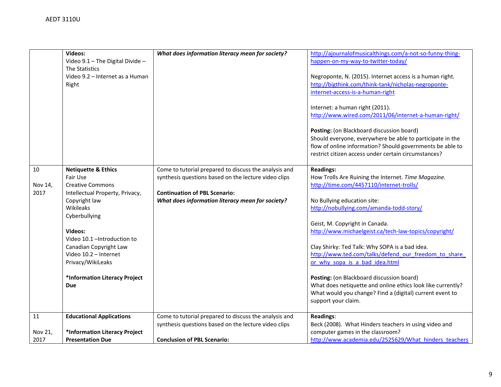|         | Videos:                          |                                                       |                                                             |
|---------|----------------------------------|-------------------------------------------------------|-------------------------------------------------------------|
|         |                                  | What does information literacy mean for society?      | http://ajournalofmusicalthings.com/a-not-so-funny-thing-    |
|         | Video 9.1 - The Digital Divide - |                                                       | happen-on-my-way-to-twitter-today/                          |
|         | The Statistics                   |                                                       |                                                             |
|         | Video 9.2 - Internet as a Human  |                                                       | Negroponte, N. (2015). Internet access is a human right.    |
|         | Right                            |                                                       | http://bigthink.com/think-tank/nicholas-negroponte-         |
|         |                                  |                                                       |                                                             |
|         |                                  |                                                       | internet-access-is-a-human-right                            |
|         |                                  |                                                       |                                                             |
|         |                                  |                                                       | Internet: a human right (2011).                             |
|         |                                  |                                                       | http://www.wired.com/2011/06/internet-a-human-right/        |
|         |                                  |                                                       |                                                             |
|         |                                  |                                                       | Posting: (on Blackboard discussion board)                   |
|         |                                  |                                                       |                                                             |
|         |                                  |                                                       | Should everyone, everywhere be able to participate in the   |
|         |                                  |                                                       | flow of online information? Should governments be able to   |
|         |                                  |                                                       | restrict citizen access under certain circumstances?        |
|         |                                  |                                                       |                                                             |
| $10\,$  | <b>Netiquette &amp; Ethics</b>   | Come to tutorial prepared to discuss the analysis and | <b>Readings:</b>                                            |
|         | Fair Use                         |                                                       |                                                             |
|         |                                  | synthesis questions based on the lecture video clips  | How Trolls Are Ruining the Internet. Time Magazine.         |
| Nov 14, | <b>Creative Commons</b>          |                                                       | http://time.com/4457110/internet-trolls/                    |
| 2017    | Intellectual Property, Privacy,  | <b>Continuation of PBL Scenario:</b>                  |                                                             |
|         | Copyright law                    | What does information literacy mean for society?      | No Bullying education site:                                 |
|         | Wikileaks                        |                                                       | http://nobullying.com/amanda-todd-story/                    |
|         | Cyberbullying                    |                                                       |                                                             |
|         |                                  |                                                       | Geist, M. Copyright in Canada.                              |
|         |                                  |                                                       |                                                             |
|         | <b>Videos:</b>                   |                                                       | http://www.michaelgeist.ca/tech-law-topics/copyright/       |
|         | Video 10.1 - Introduction to     |                                                       |                                                             |
|         | Canadian Copyright Law           |                                                       | Clay Shirky: Ted Talk: Why SOPA is a bad idea.              |
|         | Video 10.2 - Internet            |                                                       | http://www.ted.com/talks/defend our freedom to share        |
|         | Privacy/WikiLeaks                |                                                       | or why sopa is a bad idea.html                              |
|         |                                  |                                                       |                                                             |
|         | *Information Literacy Project    |                                                       | Posting: (on Blackboard discussion board)                   |
|         |                                  |                                                       |                                                             |
|         | <b>Due</b>                       |                                                       | What does netiquette and online ethics look like currently? |
|         |                                  |                                                       | What would you change? Find a (digital) current event to    |
|         |                                  |                                                       | support your claim.                                         |
|         |                                  |                                                       |                                                             |
| 11      | <b>Educational Applications</b>  | Come to tutorial prepared to discuss the analysis and | <b>Readings:</b>                                            |
|         |                                  | synthesis questions based on the lecture video clips  | Beck (2008). What Hinders teachers in using video and       |
|         |                                  |                                                       |                                                             |
| Nov 21, | *Information Literacy Project    |                                                       | computer games in the classroom?                            |
| 2017    | <b>Presentation Due</b>          | <b>Conclusion of PBL Scenario:</b>                    | http://www.academia.edu/2525629/What hinders teachers       |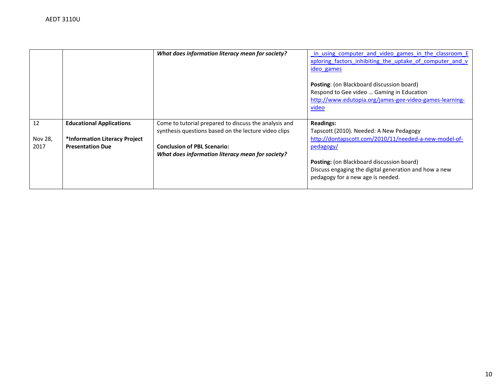|         |                                 | What does information literacy mean for society?      | in using computer and video games in the classroom E<br>xploring factors inhibiting the uptake of computer and v |
|---------|---------------------------------|-------------------------------------------------------|------------------------------------------------------------------------------------------------------------------|
|         |                                 |                                                       | ideo_games                                                                                                       |
|         |                                 |                                                       | <b>Posting:</b> (on Blackboard discussion board)                                                                 |
|         |                                 |                                                       | Respond to Gee video  Gaming in Education                                                                        |
|         |                                 |                                                       | http://www.edutopia.org/james-gee-video-games-learning-                                                          |
|         |                                 |                                                       | video                                                                                                            |
|         |                                 |                                                       |                                                                                                                  |
|         |                                 |                                                       |                                                                                                                  |
| 12      | <b>Educational Applications</b> | Come to tutorial prepared to discuss the analysis and | <b>Readings:</b>                                                                                                 |
|         |                                 | synthesis questions based on the lecture video clips  | Tapscott (2010). Needed: A New Pedagogy                                                                          |
| Nov 28, | *Information Literacy Project   |                                                       | http://dontapscott.com/2010/11/needed-a-new-model-of-                                                            |
| 2017    | <b>Presentation Due</b>         | <b>Conclusion of PBL Scenario:</b>                    | pedagogy/                                                                                                        |
|         |                                 | What does information literacy mean for society?      |                                                                                                                  |
|         |                                 |                                                       | <b>Posting:</b> (on Blackboard discussion board)                                                                 |
|         |                                 |                                                       | Discuss engaging the digital generation and how a new                                                            |
|         |                                 |                                                       | pedagogy for a new age is needed.                                                                                |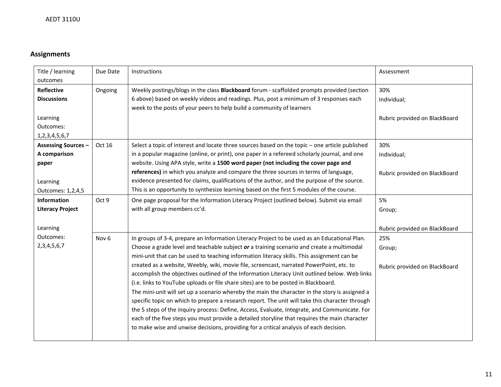# **Assignments**

| Title / learning<br>outcomes                                                            | Due Date         | Instructions                                                                                                                                                                                                                                                                                                                                                                                                                                                                                                                                                                                                                                                                                                                                                                                                                                                                                                                                                                                                                                                                 | Assessment                                          |
|-----------------------------------------------------------------------------------------|------------------|------------------------------------------------------------------------------------------------------------------------------------------------------------------------------------------------------------------------------------------------------------------------------------------------------------------------------------------------------------------------------------------------------------------------------------------------------------------------------------------------------------------------------------------------------------------------------------------------------------------------------------------------------------------------------------------------------------------------------------------------------------------------------------------------------------------------------------------------------------------------------------------------------------------------------------------------------------------------------------------------------------------------------------------------------------------------------|-----------------------------------------------------|
| <b>Reflective</b><br><b>Discussions</b><br>Learning<br>Outcomes:<br>1, 2, 3, 4, 5, 6, 7 | Ongoing          | Weekly postings/blogs in the class Blackboard forum - scaffolded prompts provided (section<br>6 above) based on weekly videos and readings. Plus, post a minimum of 3 responses each<br>week to the posts of your peers to help build a community of learners                                                                                                                                                                                                                                                                                                                                                                                                                                                                                                                                                                                                                                                                                                                                                                                                                | 30%<br>Individual;<br>Rubric provided on BlackBoard |
| <b>Assessing Sources -</b><br>A comparison<br>paper<br>Learning<br>Outcomes: 1,2,4,5    | Oct 16           | Select a topic of interest and locate three sources based on the topic - one article published<br>in a popular magazine (online, or print), one paper in a refereed scholarly journal, and one<br>website. Using APA style, write a 1500 word paper (not including the cover page and<br>references) in which you analyze and compare the three sources in terms of language,<br>evidence presented for claims, qualifications of the author, and the purpose of the source.<br>This is an opportunity to synthesize learning based on the first 5 modules of the course.                                                                                                                                                                                                                                                                                                                                                                                                                                                                                                    | 30%<br>Individual;<br>Rubric provided on BlackBoard |
| Information<br><b>Literacy Project</b><br>Learning                                      | Oct 9            | One page proposal for the Information Literacy Project (outlined below). Submit via email<br>with all group members cc'd.                                                                                                                                                                                                                                                                                                                                                                                                                                                                                                                                                                                                                                                                                                                                                                                                                                                                                                                                                    | 5%<br>Group;<br>Rubric provided on BlackBoard       |
| Outcomes:<br>2, 3, 4, 5, 6, 7                                                           | Nov <sub>6</sub> | In groups of 3-4, prepare an Information Literacy Project to be used as an Educational Plan.<br>Choose a grade level and teachable subject or a training scenario and create a multimodal<br>mini-unit that can be used to teaching information literacy skills. This assignment can be<br>created as a website, Weebly, wiki, movie file, screencast, narrated PowerPoint, etc. to<br>accomplish the objectives outlined of the Information Literacy Unit outlined below. Web links<br>(i.e. links to YouTube uploads or file share sites) are to be posted in Blackboard.<br>The mini-unit will set up a scenario whereby the main the character in the story is assigned a<br>specific topic on which to prepare a research report. The unit will take this character through<br>the 5 steps of the inquiry process: Define, Access, Evaluate, Integrate, and Communicate. For<br>each of the five steps you must provide a detailed storyline that requires the main character<br>to make wise and unwise decisions, providing for a critical analysis of each decision. | 25%<br>Group;<br>Rubric provided on BlackBoard      |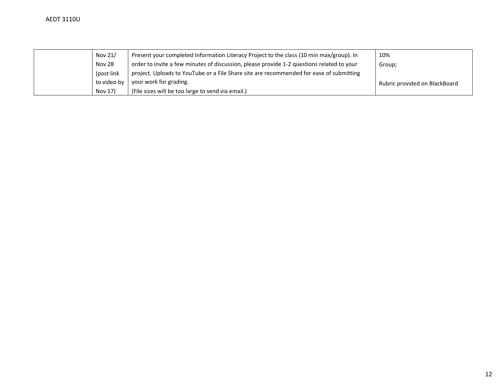| Nov 21/     | Present your completed Information Literacy Project to the class (10 min max/group). In   | 10%                           |
|-------------|-------------------------------------------------------------------------------------------|-------------------------------|
| Nov 28      | order to invite a few minutes of discussion, please provide 1-2 questions related to your | Group;                        |
| (post link) | project. Uploads to YouTube or a File Share site are recommended for ease of submitting   |                               |
| to video by | your work for grading.                                                                    | Rubric provided on BlackBoard |
| Nov 17)     | (File sizes will be too large to send via email.)                                         |                               |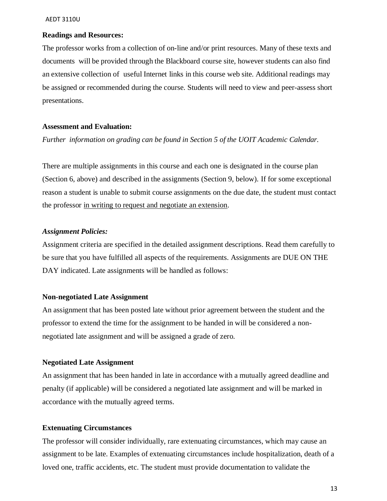## **Readings and Resources:**

The professor works from a collection of on-line and/or print resources. Many of these texts and documents will be provided through the Blackboard course site, however students can also find an extensive collection of useful Internet links in this course web site. Additional readings may be assigned or recommended during the course. Students will need to view and peer-assess short presentations.

## **Assessment and Evaluation:**

*Further information on grading can be found in Section 5 of the UOIT Academic Calendar.*

There are multiple assignments in this course and each one is designated in the course plan (Section 6, above) and described in the assignments (Section 9, below). If for some exceptional reason a student is unable to submit course assignments on the due date, the student must contact the professor in writing to request and negotiate an extension.

#### *Assignment Policies:*

Assignment criteria are specified in the detailed assignment descriptions. Read them carefully to be sure that you have fulfilled all aspects of the requirements. Assignments are DUE ON THE DAY indicated. Late assignments will be handled as follows:

#### **Non-negotiated Late Assignment**

An assignment that has been posted late without prior agreement between the student and the professor to extend the time for the assignment to be handed in will be considered a nonnegotiated late assignment and will be assigned a grade of zero.

## **Negotiated Late Assignment**

An assignment that has been handed in late in accordance with a mutually agreed deadline and penalty (if applicable) will be considered a negotiated late assignment and will be marked in accordance with the mutually agreed terms.

# **Extenuating Circumstances**

The professor will consider individually, rare extenuating circumstances, which may cause an assignment to be late. Examples of extenuating circumstances include hospitalization, death of a loved one, traffic accidents, etc. The student must provide documentation to validate the

13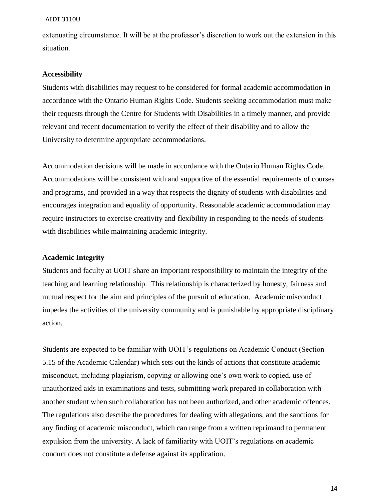extenuating circumstance. It will be at the professor's discretion to work out the extension in this situation.

### **Accessibility**

Students with disabilities may request to be considered for formal academic accommodation in accordance with the Ontario Human Rights Code. Students seeking accommodation must make their requests through the Centre for Students with Disabilities in a timely manner, and provide relevant and recent documentation to verify the effect of their disability and to allow the University to determine appropriate accommodations.

Accommodation decisions will be made in accordance with the Ontario Human Rights Code. Accommodations will be consistent with and supportive of the essential requirements of courses and programs, and provided in a way that respects the dignity of students with disabilities and encourages integration and equality of opportunity. Reasonable academic accommodation may require instructors to exercise creativity and flexibility in responding to the needs of students with disabilities while maintaining academic integrity.

## **Academic Integrity**

Students and faculty at UOIT share an important responsibility to maintain the integrity of the teaching and learning relationship. This relationship is characterized by honesty, fairness and mutual respect for the aim and principles of the pursuit of education. Academic misconduct impedes the activities of the university community and is punishable by appropriate disciplinary action.

Students are expected to be familiar with UOIT's regulations on Academic Conduct (Section 5.15 of the Academic Calendar) which sets out the kinds of actions that constitute academic misconduct, including plagiarism, copying or allowing one's own work to copied, use of unauthorized aids in examinations and tests, submitting work prepared in collaboration with another student when such collaboration has not been authorized, and other academic offences. The regulations also describe the procedures for dealing with allegations, and the sanctions for any finding of academic misconduct, which can range from a written reprimand to permanent expulsion from the university. A lack of familiarity with UOIT's regulations on academic conduct does not constitute a defense against its application.